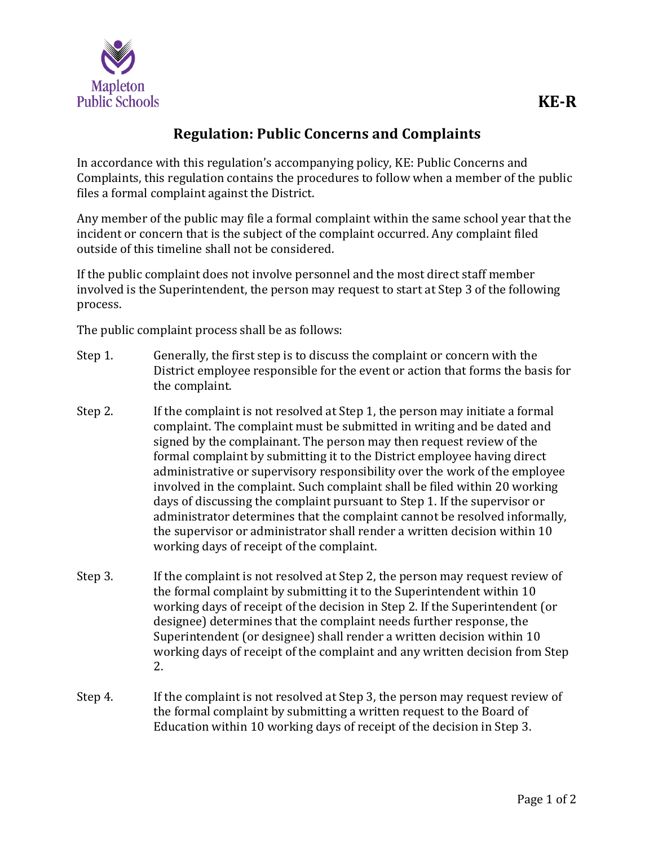

## **Regulation: Public Concerns and Complaints**

In accordance with this regulation's accompanying policy, KE: Public Concerns and Complaints, this regulation contains the procedures to follow when a member of the public files a formal complaint against the District.

Any member of the public may file a formal complaint within the same school year that the incident or concern that is the subject of the complaint occurred. Any complaint filed outside of this timeline shall not be considered.

If the public complaint does not involve personnel and the most direct staff member involved is the Superintendent, the person may request to start at Step 3 of the following process.

The public complaint process shall be as follows:

- Step 1. Generally, the first step is to discuss the complaint or concern with the District employee responsible for the event or action that forms the basis for the complaint.
- Step 2. If the complaint is not resolved at Step 1, the person may initiate a formal complaint. The complaint must be submitted in writing and be dated and signed by the complainant. The person may then request review of the formal complaint by submitting it to the District employee having direct administrative or supervisory responsibility over the work of the employee involved in the complaint. Such complaint shall be filed within 20 working days of discussing the complaint pursuant to Step 1. If the supervisor or administrator determines that the complaint cannot be resolved informally, the supervisor or administrator shall render a written decision within 10 working days of receipt of the complaint.
- Step 3. If the complaint is not resolved at Step 2, the person may request review of the formal complaint by submitting it to the Superintendent within 10 working days of receipt of the decision in Step 2. If the Superintendent (or designee) determines that the complaint needs further response, the Superintendent (or designee) shall render a written decision within 10 working days of receipt of the complaint and any written decision from Step 2.
- Step 4. If the complaint is not resolved at Step 3, the person may request review of the formal complaint by submitting a written request to the Board of Education within 10 working days of receipt of the decision in Step 3.